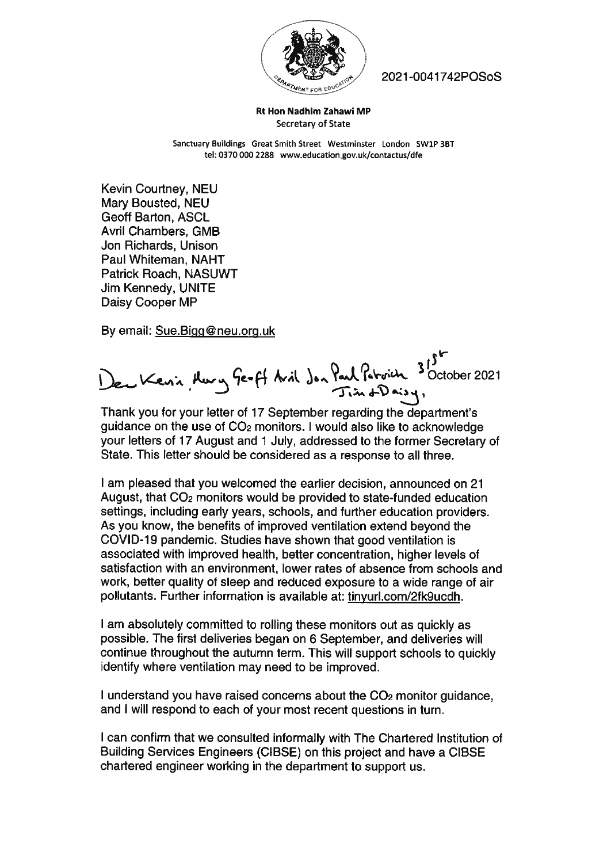

2021-0041742POSoS

Rt Hon Nadhim Zahawi MP Secretary of State

Sanctuary Buildings Great Smith Street westminster London SW1P 3BT tel: 0370 000 2288 wwweducationgov.uk/contactus/dfe

Kevin Courtney, NEU Mary Bousted, NEU Geoff Barton, ASCL Avril Chambers, GMB Jon Richards, Unison Paul Whiteman, NAHT Patrick Roach, NASUWT Jim Kennedy, UNITE Daisy Cooper MP

By email: Sue.Bigg@neu.org.uk

, w Ye-H Avil . . . 3 October 2021

Thank you for your letter of 17 September regarding the department's guidance on the use of C02 monitors. I would also like to acknowledge your letters of 17 August and <sup>1</sup> July, addressed to the former Secretary of State. This letter should be considered as <sup>a</sup> response to all three.

I am pleased that you welcomed the earlier decision, announced on 21 August, that C02 monitors would be provided to state-funded education settings, including early years, schools, and further education providers. As you know, the benefits of improved ventilation extend beyond the COVID-19 pandemic. Studies have shown that good ventilation is associated with improved health, better concentration, higher levels of satisfaction with an environment, lower rates of absence from schools and work, better quality of sleep and reduced exposure to <sup>a</sup> wide range of air pollutants. Further information is available at: tinyurl.com/2fk9ucdh.

I am absolutely committed to rolling these monitors out as quickly as possible. The first deliveries began on <sup>6</sup> September, and deliveries will continue throughout the autumn term. This will suppor<sup>t</sup> schools to quickly identify where ventilation may need to be improved.

I understand you have raised concerns about the C02 monitor guidance, and <sup>I</sup> will respond to each of your most recent questions in turn.

<sup>I</sup> can confirm that we consulted informally with The Chartered Institution of Building Services Engineers (CIBSE) on this project and have <sup>a</sup> CIBSE chartered engineer working in the department to suppor<sup>t</sup> us.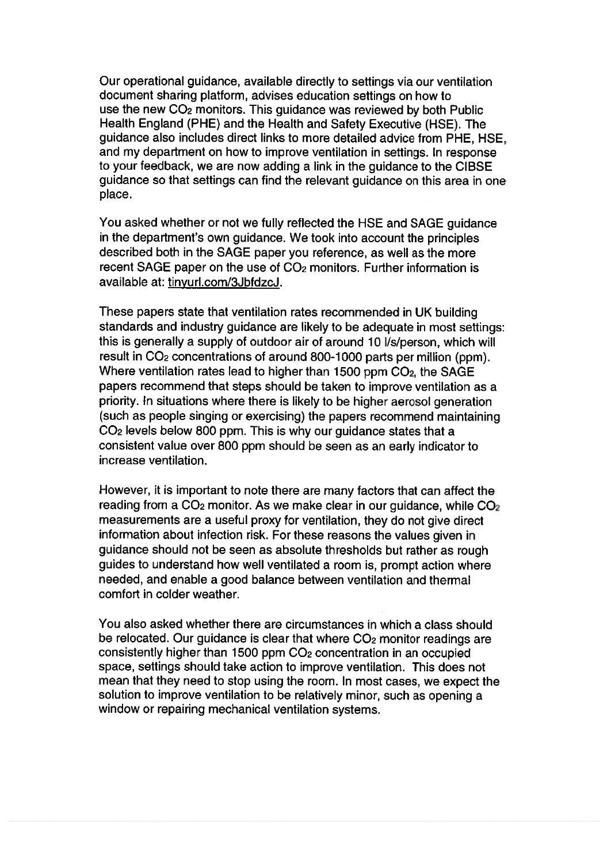Our operational guidance, available directly to settings via our ventilation document sharing <sup>p</sup>latform, advises education settings on how to use the new 002 monitors. This guidance was reviewed by both Public Health England (PHE) and the Health and Safety Executive (HSE). The guidance also includes direct links to more detailed advice from PHE, HSE, and my department on how to improve ventilation in settings. In response to your feedback, we are now adding <sup>a</sup> link in the guidance to the CIBSE guidance so that settings can find the relevant guidance on this area in one place.

You asked whether or not we fully reflected the HSE and SAGE guidance in the department's own guidance. We took into account the principles described both in the SAGE paper you reference, as well as the more recent SAGE paper on the use of CO<sub>2</sub> monitors. Further information is available at: tinyurl.com/3JbfdzcJ.

These papers state that ventilation rates recommended in UK building standards and industry guidance are likely to be adequate in most settings: this is generally a supply of outdoor air of around 10 *l/s/person, which will* result in C02 concentrations of around 800-1000 parts per million (ppm). Where ventilation rates lead to higher than 1500 ppm  $CO<sub>2</sub>$ , the SAGE papers recommend that steps should be taken to improve ventilation as <sup>a</sup> priority. In situations where there is likely to be higher aerosol generation (such as people singing or exercising) the papers recommend maintaining CO<sub>2</sub> levels below 800 ppm. This is why our guidance states that a consistent value over 800 ppm should be seen as an early indicator to increase ventilation.

However, it is important to note there are many factors that can affect the reading from a  $CO<sub>2</sub>$  monitor. As we make clear in our guidance, while  $CO<sub>2</sub>$ measurements are <sup>a</sup> useful proxy for ventilation, they do not <sup>g</sup>ive direct information about infection risk. For these reasons the values <sup>g</sup>iven in guidance should not be seen as absolute thresholds but rather as roug<sup>h</sup> guides to understand how well ventilated <sup>a</sup> room is, promp<sup>t</sup> action where needed, and enable <sup>a</sup> good balance between ventilation and thermal comfort in colder weather.

You also asked whether there are circumstances in which <sup>a</sup> class should be relocated. Our guidance is clear that where  $CO<sub>2</sub>$  monitor readings are consistently higher than <sup>1500</sup> ppm <sup>002</sup> concentration in an occupied space, settings should take action to improve ventilation. This does not mean that they need to stop using the room. In most cases, we expec<sup>t</sup> the solution to improve ventilation to be relatively minor, such as opening <sup>a</sup> window or repairing mechanical ventilation systems.